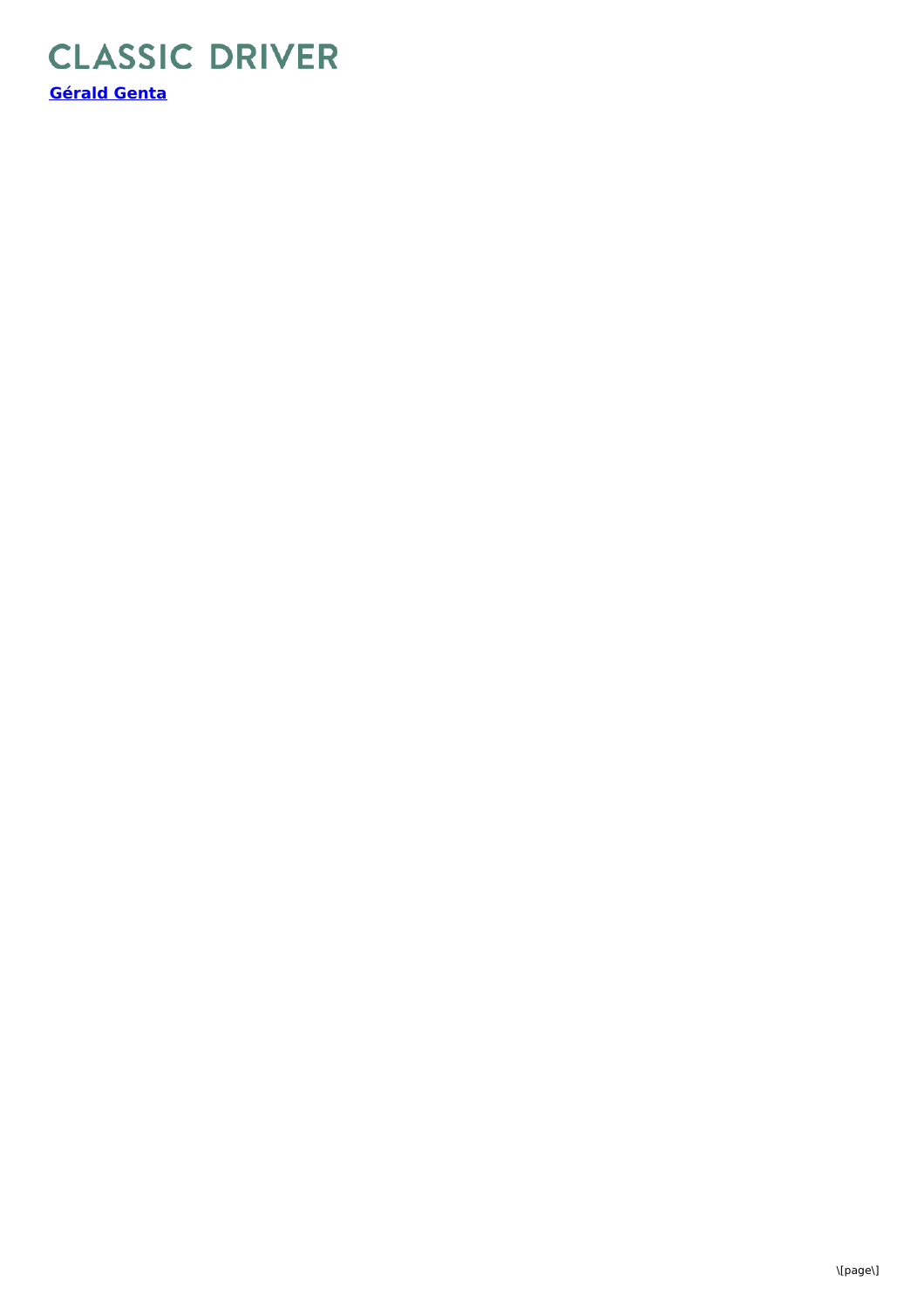